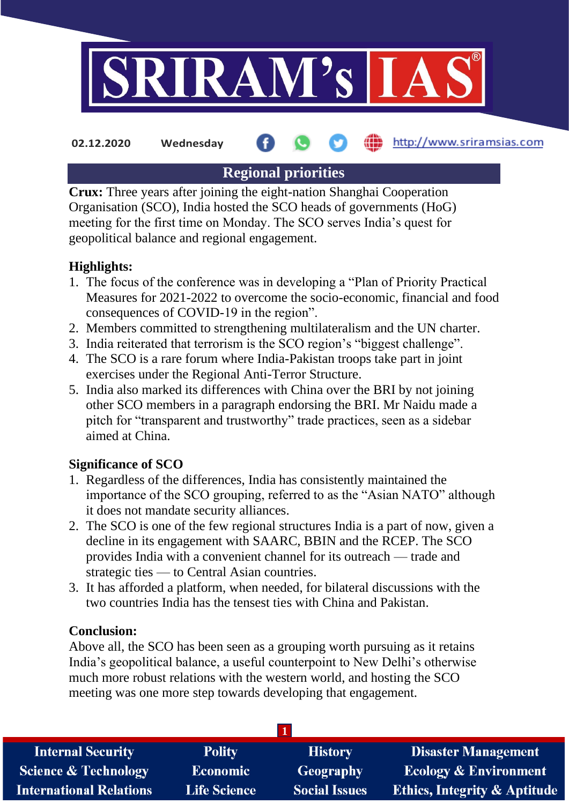

**02.12.2020 Wednesday**

http://www.sriramsias.com

# **Regional priorities**

**Crux:** Three years after joining the eight-nation Shanghai Cooperation Organisation (SCO), India hosted the SCO heads of governments (HoG) meeting for the first time on Monday. The SCO serves India's quest for geopolitical balance and regional engagement.

## **Highlights:**

- 1. The focus of the conference was in developing a "Plan of Priority Practical Measures for 2021-2022 to overcome the socio-economic, financial and food consequences of COVID-19 in the region".
- 2. Members committed to strengthening multilateralism and the UN charter.
- 3. India reiterated that terrorism is the SCO region's "biggest challenge".
- 4. The SCO is a rare forum where India-Pakistan troops take part in joint exercises under the Regional Anti-Terror Structure.
- 5. India also marked its differences with China over the BRI by not joining other SCO members in a paragraph endorsing the BRI. Mr Naidu made a pitch for "transparent and trustworthy" trade practices, seen as a sidebar aimed at China.

## **Significance of SCO**

- 1. Regardless of the differences, India has consistently maintained the importance of the SCO grouping, referred to as the "Asian NATO" although it does not mandate security alliances.
- 2. The SCO is one of the few regional structures India is a part of now, given a decline in its engagement with SAARC, BBIN and the RCEP. The SCO provides India with a convenient channel for its outreach — trade and strategic ties — to Central Asian countries.
- 3. It has afforded a platform, when needed, for bilateral discussions with the two countries India has the tensest ties with China and Pakistan.

### **Conclusion:**

Above all, the SCO has been seen as a grouping worth pursuing as it retains India's geopolitical balance, a useful counterpoint to New Delhi's otherwise much more robust relations with the western world, and hosting the SCO meeting was one more step towards developing that engagement.

| <b>Internal Security</b>        | <b>Polity</b>       | <b>History</b>       | <b>Disaster Management</b>              |
|---------------------------------|---------------------|----------------------|-----------------------------------------|
| <b>Science &amp; Technology</b> | <b>Economic</b>     | Geography            | <b>Ecology &amp; Environment</b>        |
| <b>International Relations</b>  | <b>Life Science</b> | <b>Social Issues</b> | <b>Ethics, Integrity &amp; Aptitude</b> |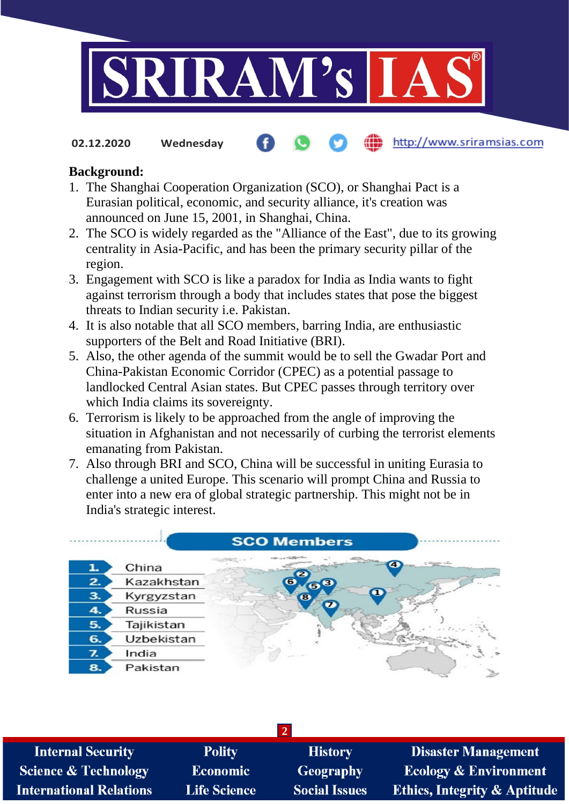

**02.12.2020 Wednesday**

#### http://www.sriramsias.com

#### **Background:**

- 1. The Shanghai Cooperation Organization (SCO), or Shanghai Pact is a Eurasian political, economic, and security alliance, it's creation was announced on June 15, 2001, in Shanghai, China.
- 2. The SCO is widely regarded as the "Alliance of the East", due to its growing centrality in Asia-Pacific, and has been the primary security pillar of the region.
- 3. Engagement with SCO is like a paradox for India as India wants to fight against terrorism through a body that includes states that pose the biggest threats to Indian security i.e. Pakistan.
- 4. It is also notable that all SCO members, barring India, are enthusiastic supporters of the Belt and Road Initiative (BRI).
- 5. Also, the other agenda of the summit would be to sell the Gwadar Port and China-Pakistan Economic Corridor (CPEC) as a potential passage to landlocked Central Asian states. But CPEC passes through territory over which India claims its sovereignty.
- 6. Terrorism is likely to be approached from the angle of improving the situation in Afghanistan and not necessarily of curbing the terrorist elements emanating from Pakistan.
- 7. Also through BRI and SCO, China will be successful in uniting Eurasia to challenge a united Europe. This scenario will prompt China and Russia to enter into a new era of global strategic partnership. This might not be in India's strategic interest.

|    |            | <b>SCO Members</b>                   |
|----|------------|--------------------------------------|
| 1. | China      | and the country of the party of<br>a |
| 2. | Kazakhstan | О<br>63                              |
| 3. | Kyrgyzstan | $\bullet$                            |
| 4. | Russia     |                                      |
| 5. | Tajikistan |                                      |
| 6. | Uzbekistan |                                      |
| z. | India      |                                      |
| 8. | Pakistan   |                                      |

| <b>Internal Security</b>        | <b>Polity</b>       | <b>History</b>       | <b>Disaster Management</b>              |
|---------------------------------|---------------------|----------------------|-----------------------------------------|
| <b>Science &amp; Technology</b> | <b>Economic</b>     | Geography            | <b>Ecology &amp; Environment</b>        |
| International Relations         | <b>Life Science</b> | <b>Social Issues</b> | <b>Ethics, Integrity &amp; Aptitude</b> |
|                                 |                     |                      |                                         |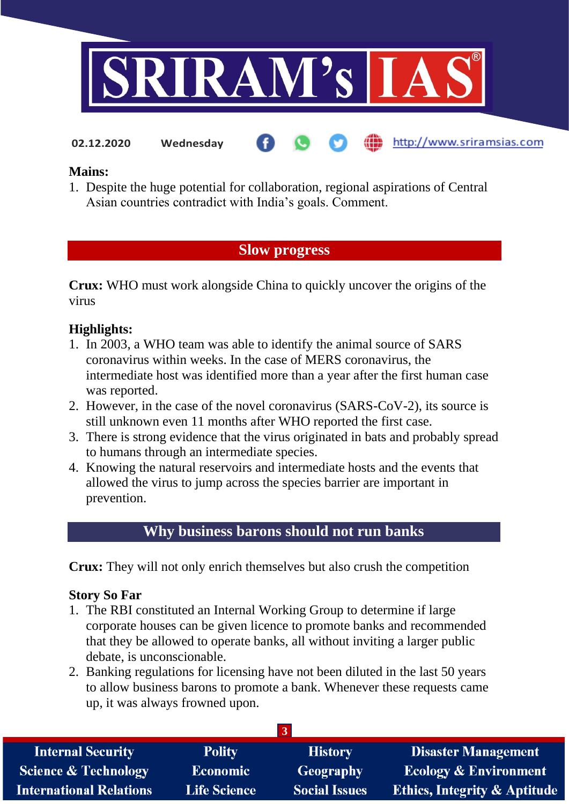

**02.12.2020 Wednesday**

http://www.sriramsias.com

#### **Mains:**

1. Despite the huge potential for collaboration, regional aspirations of Central Asian countries contradict with India's goals. Comment.

## **Slow progress**

**Crux:** WHO must work alongside China to quickly uncover the origins of the virus

## **Highlights:**

- 1. In 2003, a WHO team was able to identify the animal source of SARS coronavirus within weeks. In the case of MERS coronavirus, the intermediate host was identified more than a year after the first human case was reported.
- 2. However, in the case of the novel coronavirus (SARS-CoV-2), its source is still unknown even 11 months after WHO reported the first case.
- 3. There is strong evidence that the virus originated in bats and probably spread to humans through an intermediate species.
- 4. Knowing the natural reservoirs and intermediate hosts and the events that allowed the virus to jump across the species barrier are important in prevention.

## **Why business barons should not run banks**

**Crux:** They will not only enrich themselves but also crush the competition

### **Story So Far**

- 1. The RBI constituted an Internal Working Group to determine if large corporate houses can be given licence to promote banks and recommended that they be allowed to operate banks, all without inviting a larger public debate, is unconscionable.
- 2. Banking regulations for licensing have not been diluted in the last 50 years to allow business barons to promote a bank. Whenever these requests came up, it was always frowned upon.

| <b>Internal Security</b>        | <b>Polity</b>       | <b>History</b>       | <b>Disaster Management</b>              |
|---------------------------------|---------------------|----------------------|-----------------------------------------|
| <b>Science &amp; Technology</b> | <b>Economic</b>     | Geography            | <b>Ecology &amp; Environment</b>        |
| <b>International Relations</b>  | <b>Life Science</b> | <b>Social Issues</b> | <b>Ethics, Integrity &amp; Aptitude</b> |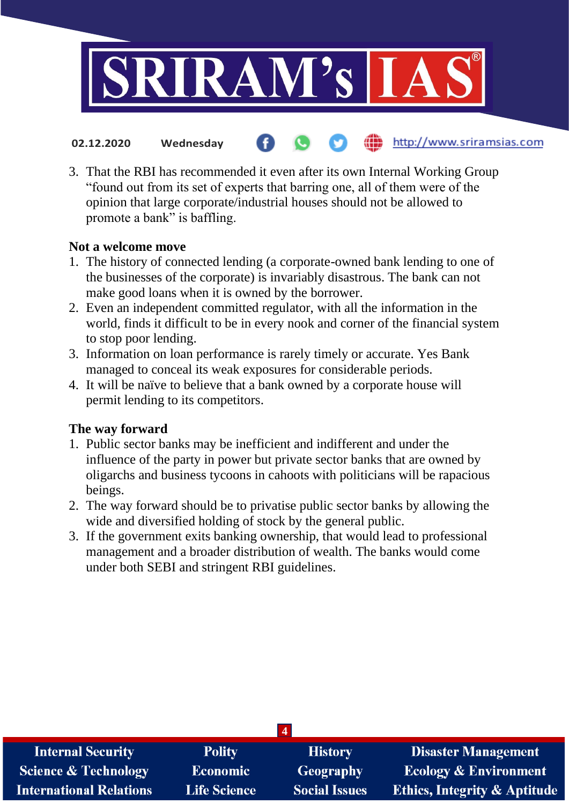

- the http://www.sriramsias.com **02.12.2020 Wednesday**
- 3. That the RBI has recommended it even after its own Internal Working Group "found out from its set of experts that barring one, all of them were of the opinion that large corporate/industrial houses should not be allowed to promote a bank" is baffling.

#### **Not a welcome move**

- 1. The history of connected lending (a corporate-owned bank lending to one of the businesses of the corporate) is invariably disastrous. The bank can not make good loans when it is owned by the borrower.
- 2. Even an independent committed regulator, with all the information in the world, finds it difficult to be in every nook and corner of the financial system to stop poor lending.
- 3. Information on loan performance is rarely timely or accurate. Yes Bank managed to conceal its weak exposures for considerable periods.
- 4. It will be naïve to believe that a bank owned by a corporate house will permit lending to its competitors.

#### **The way forward**

- 1. Public sector banks may be inefficient and indifferent and under the influence of the party in power but private sector banks that are owned by oligarchs and business tycoons in cahoots with politicians will be rapacious beings.
- 2. The way forward should be to privatise public sector banks by allowing the wide and diversified holding of stock by the general public.
- 3. If the government exits banking ownership, that would lead to professional management and a broader distribution of wealth. The banks would come under both SEBI and stringent RBI guidelines.

| <b>Internal Security</b>        | <b>Polity</b>       | <b>History</b>       | <b>Disaster Management</b>              |  |
|---------------------------------|---------------------|----------------------|-----------------------------------------|--|
| <b>Science &amp; Technology</b> | <b>Economic</b>     | Geography            | <b>Ecology &amp; Environment</b>        |  |
| <b>International Relations</b>  | <b>Life Science</b> | <b>Social Issues</b> | <b>Ethics, Integrity &amp; Aptitude</b> |  |